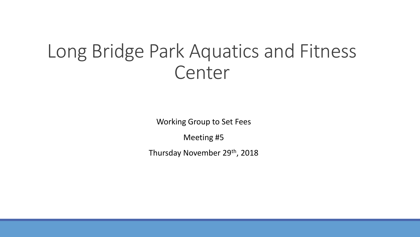#### Long Bridge Park Aquatics and Fitness Center

Working Group to Set Fees

Meeting #5

Thursday November 29th, 2018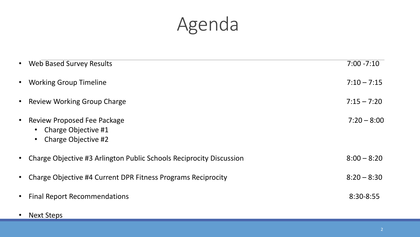# Agenda

| $\bullet$ | <b>Web Based Survey Results</b>                                           | $7:00 - 7:10$ |
|-----------|---------------------------------------------------------------------------|---------------|
| $\bullet$ | <b>Working Group Timeline</b>                                             | $7:10 - 7:15$ |
| $\bullet$ | <b>Review Working Group Charge</b>                                        | $7:15 - 7:20$ |
| $\bullet$ | Review Proposed Fee Package<br>Charge Objective #1<br>Charge Objective #2 | $7:20 - 8:00$ |
| $\bullet$ | Charge Objective #3 Arlington Public Schools Reciprocity Discussion       | $8:00 - 8:20$ |
| $\bullet$ | Charge Objective #4 Current DPR Fitness Programs Reciprocity              | $8:20 - 8:30$ |
| $\bullet$ | <b>Final Report Recommendations</b>                                       | 8:30-8:55     |

• Next Steps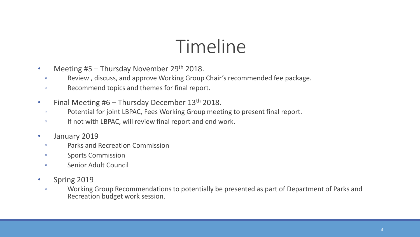# Timeline

- Meeting #5 Thursday November 29<sup>th</sup> 2018.
	- Review , discuss, and approve Working Group Chair's recommended fee package.
	- Recommend topics and themes for final report.
- Final Meeting #6 Thursday December 13<sup>th</sup> 2018.
	- Potential for joint LBPAC, Fees Working Group meeting to present final report.
	- If not with LBPAC, will review final report and end work.
- January 2019
	- Parks and Recreation Commission
	- Sports Commission
	- Senior Adult Council
- Spring 2019
	- Working Group Recommendations to potentially be presented as part of Department of Parks and Recreation budget work session.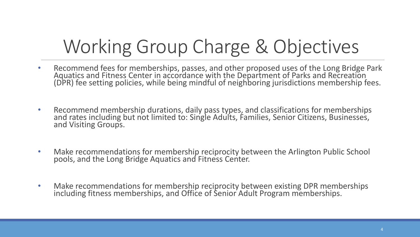# Working Group Charge & Objectives

- Recommend fees for memberships, passes, and other proposed uses of the Long Bridge Park Aquatics and Fitness Center in accordance with the Department of Parks and Recreation (DPR) fee setting policies, while being mindful of neighboring jurisdictions membership fees.
- Recommend membership durations, daily pass types, and classifications for memberships and rates including but not limited to: Single Adults, Families, Senior Citizens, Businesses, and Visiting Groups.
- Make recommendations for membership reciprocity between the Arlington Public School pools, and the Long Bridge Aquatics and Fitness Center.
- Make recommendations for membership reciprocity between existing DPR memberships including fitness memberships, and Office of Senior Adult Program memberships.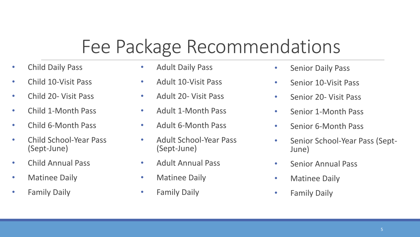# Fee Package Recommendations

- Child Daily Pass
- Child 10-Visit Pass
- Child 20- Visit Pass
- Child 1-Month Pass
- Child 6-Month Pass
- Child School-Year Pass (Sept-June)
- Child Annual Pass
- Matinee Daily
- Family Daily
- Adult Daily Pass
- Adult 10-Visit Pass
- Adult 20- Visit Pass
- Adult 1-Month Pass
- Adult 6-Month Pass
- Adult School-Year Pass (Sept-June)
- Adult Annual Pass
- Matinee Daily
- Family Daily
- Senior Daily Pass
- Senior 10-Visit Pass
- Senior 20- Visit Pass
- Senior 1-Month Pass
- Senior 6-Month Pass
- Senior School-Year Pass (Sept-June)
- Senior Annual Pass
- Matinee Daily
- Family Daily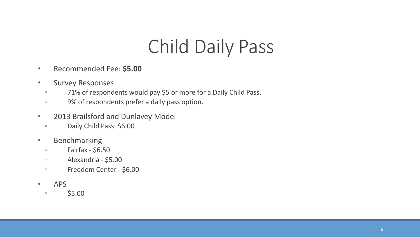# Child Daily Pass

- Recommended Fee: **\$5.00**
- Survey Responses
	- 71% of respondents would pay \$5 or more for a Daily Child Pass.
	- 9% of respondents prefer a daily pass option.
- 2013 Brailsford and Dunlavey Model
	- Daily Child Pass: \$6.00
- Benchmarking
	- $\circ$  Fairfax \$6.50
	- Alexandria \$5.00
	- Freedom Center \$6.00
- APS
	- $\degree$  \$5.00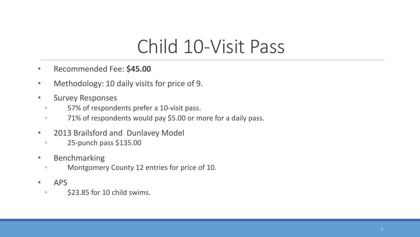# Child 10-Visit Pass

- Recommended Fee: **\$45.00**
- Methodology: 10 daily visits for price of 9.
- Survey Responses
	- 57% of respondents prefer a 10-visit pass.
	- 71% of respondents would pay \$5.00 or more for a daily pass.
- 2013 Brailsford and Dunlavey Model
	- 25-punch pass \$135.00
- Benchmarking
	- Montgomery County 12 entries for price of 10.
- APS
	- \$23.85 for 10 child swims.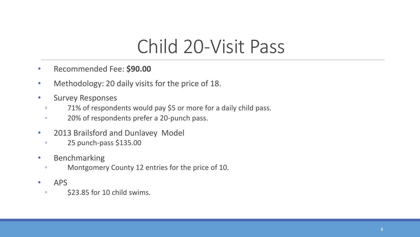# Child 20-Visit Pass

- Recommended Fee: **\$90.00**
- Methodology: 20 daily visits for the price of 18.
- Survey Responses
	- 71% of respondents would pay \$5 or more for a daily child pass.
	- 20% of respondents prefer a 20-punch pass.
- 2013 Brailsford and Dunlavey Model
	- 25 punch-pass \$135.00
- Benchmarking
	- Montgomery County 12 entries for the price of 10.
- APS
	- \$23.85 for 10 child swims.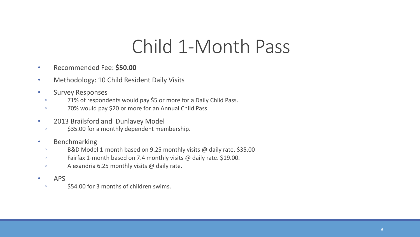### Child 1-Month Pass

- Recommended Fee: **\$50.00**
- Methodology: 10 Child Resident Daily Visits
- Survey Responses
	- 71% of respondents would pay \$5 or more for a Daily Child Pass.
	- 70% would pay \$20 or more for an Annual Child Pass.
- 2013 Brailsford and Dunlavey Model
	- \$35.00 for a monthly dependent membership.
- Benchmarking
	- B&D Model 1-month based on 9.25 monthly visits @ daily rate. \$35.00
	- Fairfax 1-month based on 7.4 monthly visits @ daily rate. \$19.00.
	- Alexandria 6.25 monthly visits @ daily rate.
- APS
	- \$54.00 for 3 months of children swims.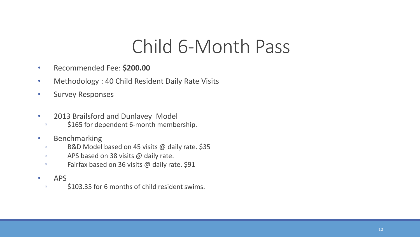# Child 6-Month Pass

- Recommended Fee: **\$200.00**
- Methodology : 40 Child Resident Daily Rate Visits
- Survey Responses
- 2013 Brailsford and Dunlavey Model
	- \$165 for dependent 6-month membership.
- Benchmarking
	- B&D Model based on 45 visits @ daily rate. \$35
	- APS based on 38 visits @ daily rate.
	- Fairfax based on 36 visits @ daily rate. \$91
- APS
	- \$103.35 for 6 months of child resident swims.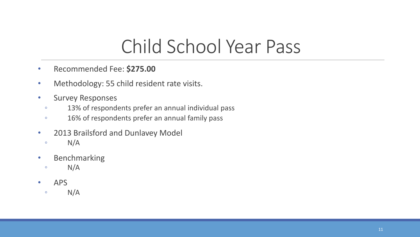# Child School Year Pass

- Recommended Fee: **\$275.00**
- Methodology: 55 child resident rate visits.
- Survey Responses
	- 13% of respondents prefer an annual individual pass
	- 16% of respondents prefer an annual family pass
- 2013 Brailsford and Dunlavey Model
	- $\circ$  N/A
- Benchmarking
- $\circ$  N/A
- APS
- $\circ$  N/A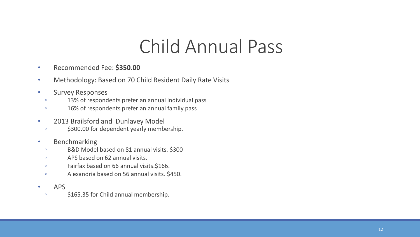# Child Annual Pass

- Recommended Fee: **\$350.00**
- Methodology: Based on 70 Child Resident Daily Rate Visits
- Survey Responses
	- 13% of respondents prefer an annual individual pass
	- 16% of respondents prefer an annual family pass
- 2013 Brailsford and Dunlavey Model
	- \$300.00 for dependent yearly membership.
- Benchmarking
	- B&D Model based on 81 annual visits. \$300
	- APS based on 62 annual visits.
	- Fairfax based on 66 annual visits.\$166.
	- Alexandria based on 56 annual visits. \$450.
- APS
	- \$165.35 for Child annual membership.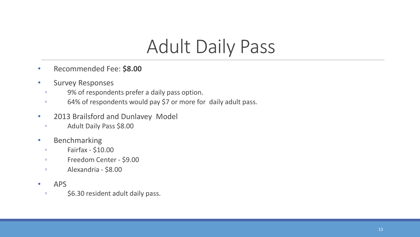# Adult Daily Pass

- Recommended Fee: **\$8.00**
- Survey Responses
	- 9% of respondents prefer a daily pass option.
	- 64% of respondents would pay \$7 or more for daily adult pass.
- 2013 Brailsford and Dunlavey Model
	- Adult Daily Pass \$8.00
- Benchmarking
	- Fairfax \$10.00
	- Freedom Center \$9.00
	- Alexandria \$8.00
- APS
	- \$6.30 resident adult daily pass.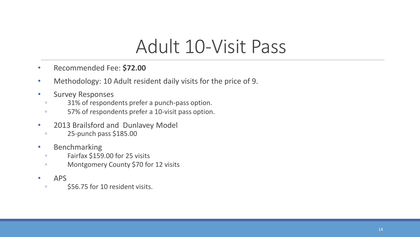### Adult 10-Visit Pass

- Recommended Fee: **\$72.00**
- Methodology: 10 Adult resident daily visits for the price of 9.
- Survey Responses
	- 31% of respondents prefer a punch-pass option.
	- 57% of respondents prefer a 10-visit pass option.
- 2013 Brailsford and Dunlavey Model
	- 25-punch pass \$185.00
- Benchmarking
	- Fairfax \$159.00 for 25 visits
	- Montgomery County \$70 for 12 visits
- APS
	- \$56.75 for 10 resident visits.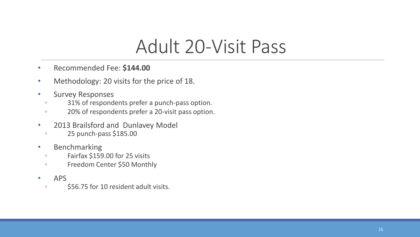### Adult 20-Visit Pass

- Recommended Fee: **\$144.00**
- Methodology: 20 visits for the price of 18.
- Survey Responses
	- 31% of respondents prefer a punch-pass option.
	- 20% of respondents prefer a 20-visit pass option.
- 2013 Brailsford and Dunlavey Model
	- 25 punch-pass \$185.00
- Benchmarking
	- Fairfax \$159.00 for 25 visits
	- Freedom Center \$50 Monthly
- APS
	- \$56.75 for 10 resident adult visits.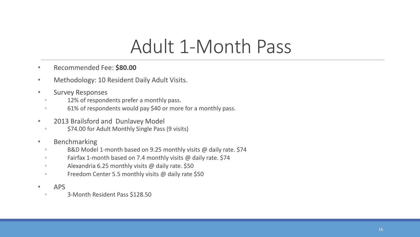#### Adult 1-Month Pass

- Recommended Fee: **\$80.00**
- Methodology: 10 Resident Daily Adult Visits.
- Survey Responses
	- 12% of respondents prefer a monthly pass.
	- 61% of respondents would pay \$40 or more for a monthly pass.
- 2013 Brailsford and Dunlavey Model
	- \$74.00 for Adult Monthly Single Pass (9 visits)
- Benchmarking
	- B&D Model 1-month based on 9.25 monthly visits @ daily rate. \$74
	- Fairfax 1-month based on 7.4 monthly visits @ daily rate. \$74
	- Alexandria 6.25 monthly visits @ daily rate. \$50
	- Freedom Center 5.5 monthly visits @ daily rate \$50
- APS
	- 3-Month Resident Pass \$128.50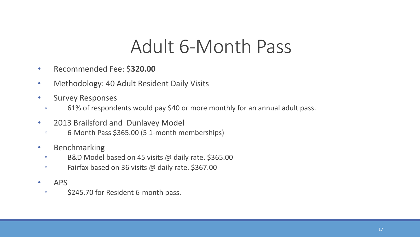# Adult 6-Month Pass

- Recommended Fee: \$**320.00**
- Methodology: 40 Adult Resident Daily Visits
- Survey Responses
	- 61% of respondents would pay \$40 or more monthly for an annual adult pass.
- 2013 Brailsford and Dunlavey Model
	- 6-Month Pass \$365.00 (5 1-month memberships)
- Benchmarking
	- B&D Model based on 45 visits @ daily rate. \$365.00
	- Fairfax based on 36 visits @ daily rate. \$367.00
- APS
	- \$245.70 for Resident 6-month pass.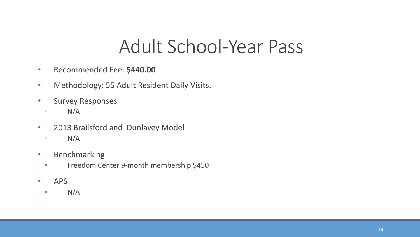#### Adult School-Year Pass

- Recommended Fee: **\$440.00**
- Methodology: 55 Adult Resident Daily Visits.
- Survey Responses
	- $\circ$  N/A
- 2013 Brailsford and Dunlavey Model
	- $\circ$  N/A
- Benchmarking
	- Freedom Center 9-month membership \$450
- APS
- $\circ$  N/A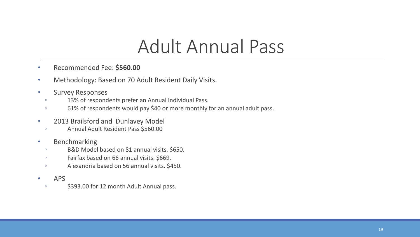### Adult Annual Pass

- Recommended Fee: **\$560.00**
- Methodology: Based on 70 Adult Resident Daily Visits.
- Survey Responses
	- 13% of respondents prefer an Annual Individual Pass.
	- 61% of respondents would pay \$40 or more monthly for an annual adult pass.
- 2013 Brailsford and Dunlavey Model
	- Annual Adult Resident Pass \$560.00
- Benchmarking
	- B&D Model based on 81 annual visits. \$650.
	- Fairfax based on 66 annual visits. \$669.
	- Alexandria based on 56 annual visits. \$450.
- APS
	- \$393.00 for 12 month Adult Annual pass.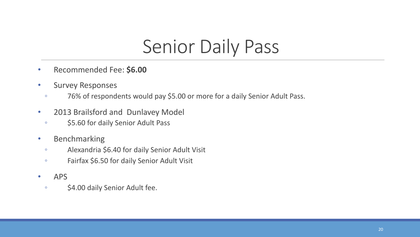# Senior Daily Pass

- Recommended Fee: **\$6.00**
- Survey Responses
	- 76% of respondents would pay \$5.00 or more for a daily Senior Adult Pass.
- 2013 Brailsford and Dunlavey Model
	- \$5.60 for daily Senior Adult Pass
- Benchmarking
	- Alexandria \$6.40 for daily Senior Adult Visit
	- Fairfax \$6.50 for daily Senior Adult Visit
- APS
- \$4.00 daily Senior Adult fee.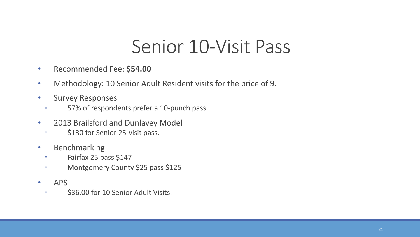### Senior 10-Visit Pass

- Recommended Fee: **\$54.00**
- Methodology: 10 Senior Adult Resident visits for the price of 9.
- Survey Responses
	- 57% of respondents prefer a 10-punch pass
- 2013 Brailsford and Dunlavey Model
	- \$130 for Senior 25-visit pass.
- Benchmarking
	- Fairfax 25 pass \$147
	- Montgomery County \$25 pass \$125
- APS
	- \$36.00 for 10 Senior Adult Visits.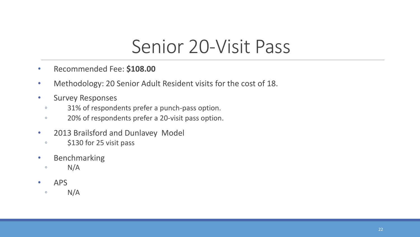### Senior 20-Visit Pass

- Recommended Fee: **\$108.00**
- Methodology: 20 Senior Adult Resident visits for the cost of 18.
- Survey Responses
	- 31% of respondents prefer a punch-pass option.
	- 20% of respondents prefer a 20-visit pass option.
- 2013 Brailsford and Dunlavey Model
	- \$130 for 25 visit pass
- Benchmarking
	- $\circ$  N/A
- APS
- $\circ$  N/A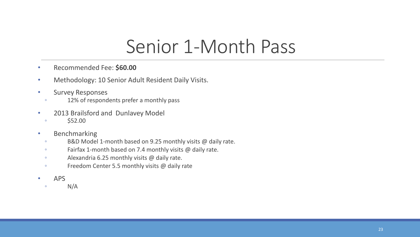#### Senior 1-Month Pass

- Recommended Fee: **\$60.00**
- Methodology: 10 Senior Adult Resident Daily Visits.
- Survey Responses
	- 12% of respondents prefer a monthly pass
- 2013 Brailsford and Dunlavey Model
	- $\degree$  \$52.00
- Benchmarking
	- B&D Model 1-month based on 9.25 monthly visits @ daily rate.
	- Fairfax 1-month based on 7.4 monthly visits @ daily rate.
	- Alexandria 6.25 monthly visits @ daily rate.
	- Freedom Center 5.5 monthly visits @ daily rate
- APS
	- $\circ$  N/A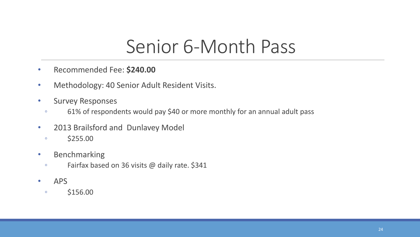### Senior 6-Month Pass

- Recommended Fee: **\$240.00**
- Methodology: 40 Senior Adult Resident Visits.
- Survey Responses
	- 61% of respondents would pay \$40 or more monthly for an annual adult pass
- 2013 Brailsford and Dunlavey Model
	- $\degree$  \$255.00
- Benchmarking
	- Fairfax based on 36 visits @ daily rate. \$341
- APS
	- \$156.00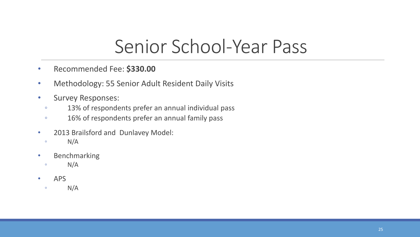#### Senior School-Year Pass

- Recommended Fee: **\$330.00**
- Methodology: 55 Senior Adult Resident Daily Visits
- Survey Responses:
	- 13% of respondents prefer an annual individual pass
	- 16% of respondents prefer an annual family pass
- 2013 Brailsford and Dunlavey Model:
- $\circ$  N/A
- Benchmarking
- $\circ$  N/A
- APS
- $\circ$  N/A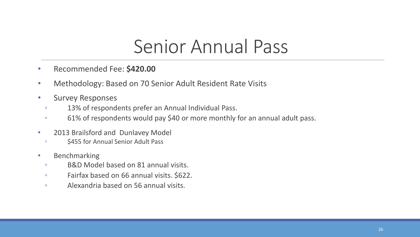### Senior Annual Pass

- Recommended Fee: **\$420.00**
- Methodology: Based on 70 Senior Adult Resident Rate Visits
- Survey Responses
	- 13% of respondents prefer an Annual Individual Pass.
	- 61% of respondents would pay \$40 or more monthly for an annual adult pass.
- 2013 Brailsford and Dunlavey Model
	- \$455 for Annual Senior Adult Pass
- Benchmarking
	- B&D Model based on 81 annual visits.
	- Fairfax based on 66 annual visits. \$622.
	- Alexandria based on 56 annual visits.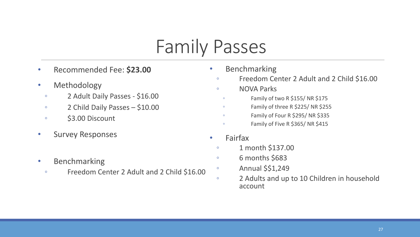# Family Passes

- Recommended Fee: **\$23.00**
- Methodology
	- 2 Adult Daily Passes \$16.00
	- 2 Child Daily Passes \$10.00
	- \$3.00 Discount
- Survey Responses
- Benchmarking
	- Freedom Center 2 Adult and 2 Child \$16.00
- Benchmarking
	- Freedom Center 2 Adult and 2 Child \$16.00
	- NOVA Parks
	- Family of two R \$155/ NR \$175
	- Family of three R \$225/ NR \$255
	- Family of Four R \$295/ NR \$335
	- Family of Five R \$365/ NR \$415
- Fairfax
	- 1 month \$137.00
	- 6 months \$683
	- Annual \$\$1,249
	- 2 Adults and up to 10 Children in household account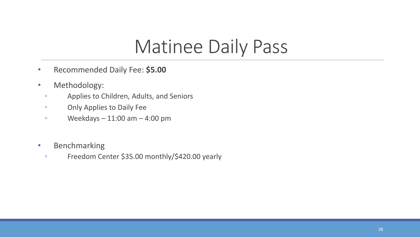# Matinee Daily Pass

- Recommended Daily Fee: **\$5.00**
- Methodology:
	- Applies to Children, Adults, and Seniors
	- Only Applies to Daily Fee
	- $\degree$  Weekdays 11:00 am 4:00 pm
- Benchmarking
	- Freedom Center \$35.00 monthly/\$420.00 yearly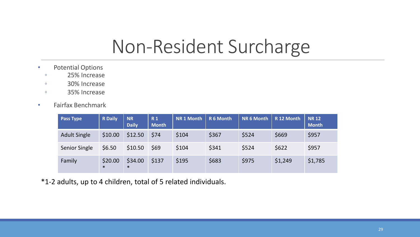#### Non-Resident Surcharge

- Potential Options
	- 25% Increase
	- 30% Increase
	- 35% Increase
- Fairfax Benchmark

| <b>Pass Type</b>    | <b>R</b> Daily    | <b>NR</b><br><b>Daily</b> | <b>R1</b><br><b>Month</b> | <b>NR1 Month</b> | R 6 Month | <b>NR 6 Month</b> | R 12 Month | <b>NR12</b><br><b>Month</b> |
|---------------------|-------------------|---------------------------|---------------------------|------------------|-----------|-------------------|------------|-----------------------------|
| <b>Adult Single</b> | \$10.00           | \$12.50                   | \$74                      | \$104            | \$367     | \$524             | \$669      | \$957                       |
| Senior Single       | \$6.50            | \$10.50                   | \$69                      | \$104            | \$341     | \$524             | \$622      | \$957                       |
| Family              | \$20.00<br>$\ast$ | \$34.00<br>$\ast$         | \$137                     | \$195            | \$683     | \$975             | \$1,249    | \$1,785                     |

\*1-2 adults, up to 4 children, total of 5 related individuals.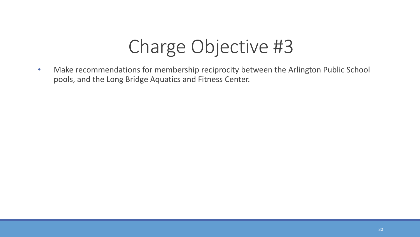# Charge Objective #3

• Make recommendations for membership reciprocity between the Arlington Public School pools, and the Long Bridge Aquatics and Fitness Center.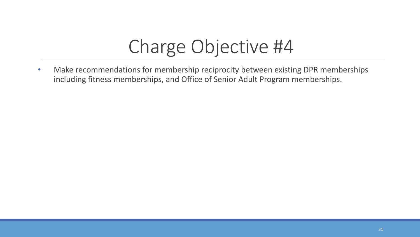# Charge Objective #4

• Make recommendations for membership reciprocity between existing DPR memberships including fitness memberships, and Office of Senior Adult Program memberships.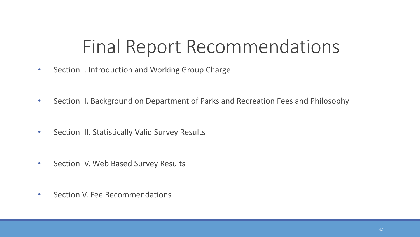# Final Report Recommendations

- Section I. Introduction and Working Group Charge
- Section II. Background on Department of Parks and Recreation Fees and Philosophy
- Section III. Statistically Valid Survey Results
- Section IV. Web Based Survey Results
- Section V. Fee Recommendations